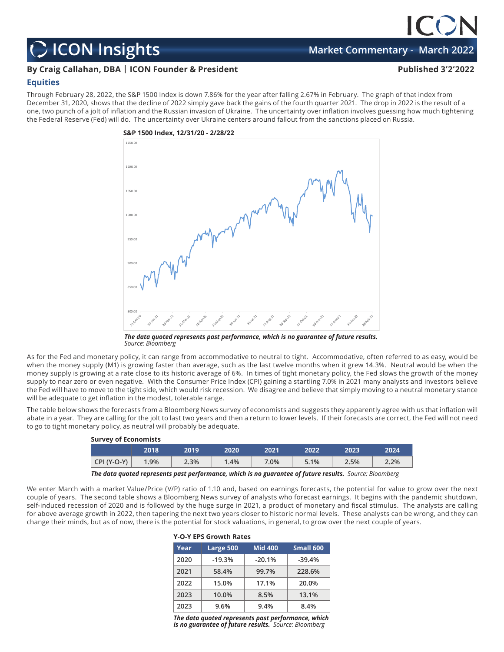## **ICON Insights Market Commentary - March 2022**

## **By Craig Callahan, DBA | ICON Founder & President Published 3'2'2022**

## **Equities**

Through February 28, 2022, the S&P 1500 Index is down 7.86% for the year after falling 2.67% in February. The graph of that index from December 31, 2020, shows that the decline of 2022 simply gave back the gains of the fourth quarter 2021. The drop in 2022 is the result of a one, two punch of a jolt of inflation and the Russian invasion of Ukraine. The uncertainty over inflation involves guessing how much tightening the Federal Reserve (Fed) will do. The uncertainty over Ukraine centers around fallout from the sanctions placed on Russia.



*The data quoted represents past performance, which is no guarantee of future results. Source: Bloomberg*

As for the Fed and monetary policy, it can range from accommodative to neutral to tight. Accommodative, often referred to as easy, would be when the money supply (M1) is growing faster than average, such as the last twelve months when it grew 14.3%. Neutral would be when the money supply is growing at a rate close to its historic average of 6%. In times of tight monetary policy, the Fed slows the growth of the money supply to near zero or even negative. With the Consumer Price Index (CPI) gaining a startling 7.0% in 2021 many analysts and investors believe the Fed will have to move to the tight side, which would risk recession. We disagree and believe that simply moving to a neutral monetary stance will be adequate to get inflation in the modest, tolerable range.

The table below shows the forecasts from a Bloomberg News survey of economists and suggests they apparently agree with us that inflation will abate in a year. They are calling for the jolt to last two years and then a return to lower levels. If their forecasts are correct, the Fed will not need to go to tight monetary policy, as neutral will probably be adequate.

| Survey of Economists |      |      |      |      |      |      |       |  |
|----------------------|------|------|------|------|------|------|-------|--|
|                      | 2018 | 2019 | 2020 | 2021 | 2022 | 2023 | 2024  |  |
| $CPI (Y-O-Y)$        | 1.9% | 2.3% | 1.4% | 7.0% | 5.1% | 2.5% | 2.2%  |  |
|                      |      |      |      |      |      |      | _____ |  |

*The data quoted represents past performance, which is no guarantee of future results. Source: Bloomberg*

**Y-O-Y EPS Growth Rates**

We enter March with a market Value/Price (V/P) ratio of 1.10 and, based on earnings forecasts, the potential for value to grow over the next couple of years. The second table shows a Bloomberg News survey of analysts who forecast earnings. It begins with the pandemic shutdown, self-induced recession of 2020 and is followed by the huge surge in 2021, a product of monetary and fiscal stimulus. The analysts are calling for above average growth in 2022, then tapering the next two years closer to historic normal levels. These analysts can be wrong, and they can change their minds, but as of now, there is the potential for stock valuations, in general, to grow over the next couple of years.

| Year | Large 500 | <b>Mid 400</b> | Small 600 |  |  |  |  |
|------|-----------|----------------|-----------|--|--|--|--|
| 2020 | $-19.3%$  | $-20.1%$       | $-39.4%$  |  |  |  |  |
| 2021 | 58.4%     | 99.7%          | 228.6%    |  |  |  |  |
| 2022 | 15.0%     | 17.1%          | 20.0%     |  |  |  |  |
| 2023 | 10.0%     | 8.5%           | 13.1%     |  |  |  |  |
| 2023 | 9.6%      | 9.4%           | 8.4%      |  |  |  |  |

*The data quoted represents past performance, which is no guarantee of future results. Source: Bloomberg*